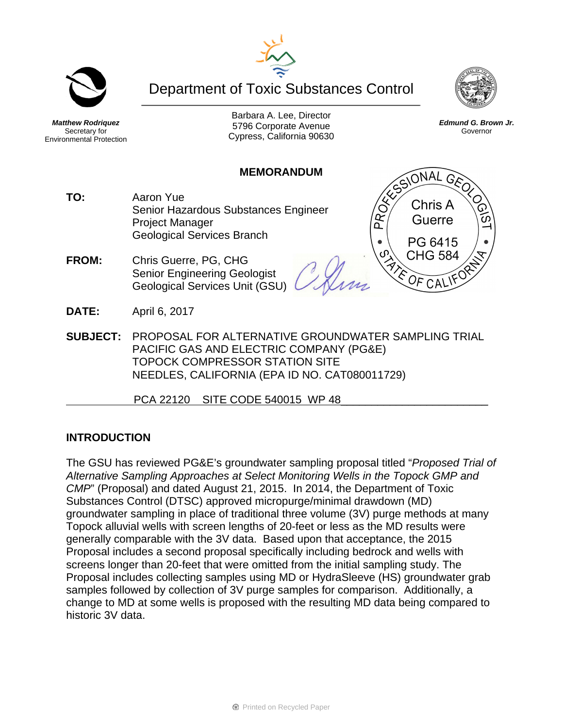Department of Toxic Substances Control



PROFIL



*Matthew Rodriquez*  Secretary for Environmental Protection

Barbara A. Lee, Director 5796 Corporate Avenue Cypress, California 90630

*Edmund G. Brown Jr.*  Governor

SIONAL GEO

Chris A Guerre

PG 6415 **CHG 584** 

 $CAL$ 

 $OF$ 

#### **MEMORANDUM**

- **TO:** Aaron Yue Senior Hazardous Substances Engineer Project Manager Geological Services Branch
- **FROM:** Chris Guerre, PG, CHG Senior Engineering Geologist Geological Services Unit (GSU)
- **DATE:** April 6, 2017
- **SUBJECT:** PROPOSAL FOR ALTERNATIVE GROUNDWATER SAMPLING TRIAL PACIFIC GAS AND ELECTRIC COMPANY (PG&E) TOPOCK COMPRESSOR STATION SITE NEEDLES, CALIFORNIA (EPA ID NO. CAT080011729)

PCA 22120 SITE CODE 540015 WP 48

## **INTRODUCTION**

The GSU has reviewed PG&E's groundwater sampling proposal titled "*Proposed Trial of Alternative Sampling Approaches at Select Monitoring Wells in the Topock GMP and CMP*" (Proposal) and dated August 21, 2015. In 2014, the Department of Toxic Substances Control (DTSC) approved micropurge/minimal drawdown (MD) groundwater sampling in place of traditional three volume (3V) purge methods at many Topock alluvial wells with screen lengths of 20-feet or less as the MD results were generally comparable with the 3V data. Based upon that acceptance, the 2015 Proposal includes a second proposal specifically including bedrock and wells with screens longer than 20-feet that were omitted from the initial sampling study. The Proposal includes collecting samples using MD or HydraSleeve (HS) groundwater grab samples followed by collection of 3V purge samples for comparison. Additionally, a change to MD at some wells is proposed with the resulting MD data being compared to historic 3V data.



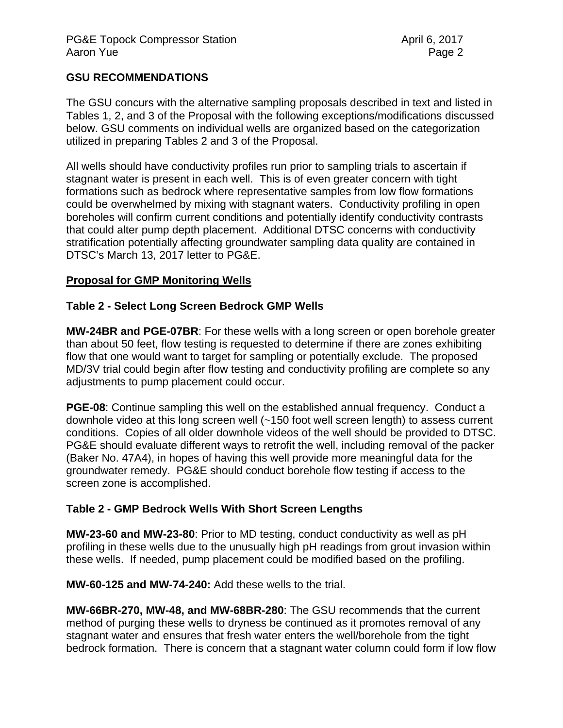## **GSU RECOMMENDATIONS**

The GSU concurs with the alternative sampling proposals described in text and listed in Tables 1, 2, and 3 of the Proposal with the following exceptions/modifications discussed below. GSU comments on individual wells are organized based on the categorization utilized in preparing Tables 2 and 3 of the Proposal.

All wells should have conductivity profiles run prior to sampling trials to ascertain if stagnant water is present in each well. This is of even greater concern with tight formations such as bedrock where representative samples from low flow formations could be overwhelmed by mixing with stagnant waters. Conductivity profiling in open boreholes will confirm current conditions and potentially identify conductivity contrasts that could alter pump depth placement. Additional DTSC concerns with conductivity stratification potentially affecting groundwater sampling data quality are contained in DTSC's March 13, 2017 letter to PG&E.

## **Proposal for GMP Monitoring Wells**

### **Table 2 - Select Long Screen Bedrock GMP Wells**

**MW-24BR and PGE-07BR**: For these wells with a long screen or open borehole greater than about 50 feet, flow testing is requested to determine if there are zones exhibiting flow that one would want to target for sampling or potentially exclude. The proposed MD/3V trial could begin after flow testing and conductivity profiling are complete so any adjustments to pump placement could occur.

**PGE-08**: Continue sampling this well on the established annual frequency. Conduct a downhole video at this long screen well (~150 foot well screen length) to assess current conditions. Copies of all older downhole videos of the well should be provided to DTSC. PG&E should evaluate different ways to retrofit the well, including removal of the packer (Baker No. 47A4), in hopes of having this well provide more meaningful data for the groundwater remedy. PG&E should conduct borehole flow testing if access to the screen zone is accomplished.

### **Table 2 - GMP Bedrock Wells With Short Screen Lengths**

**MW-23-60 and MW-23-80**: Prior to MD testing, conduct conductivity as well as pH profiling in these wells due to the unusually high pH readings from grout invasion within these wells. If needed, pump placement could be modified based on the profiling.

**MW-60-125 and MW-74-240:** Add these wells to the trial.

**MW-66BR-270, MW-48, and MW-68BR-280**: The GSU recommends that the current method of purging these wells to dryness be continued as it promotes removal of any stagnant water and ensures that fresh water enters the well/borehole from the tight bedrock formation. There is concern that a stagnant water column could form if low flow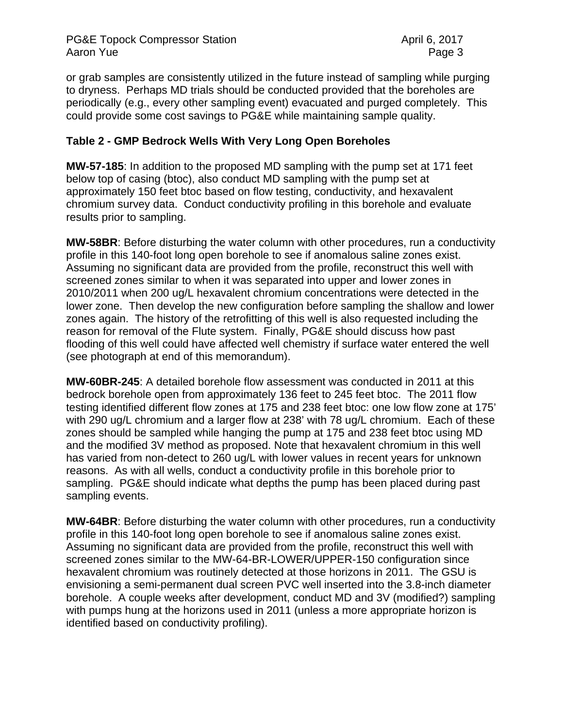or grab samples are consistently utilized in the future instead of sampling while purging to dryness. Perhaps MD trials should be conducted provided that the boreholes are periodically (e.g., every other sampling event) evacuated and purged completely. This could provide some cost savings to PG&E while maintaining sample quality.

## **Table 2 - GMP Bedrock Wells With Very Long Open Boreholes**

**MW-57-185**: In addition to the proposed MD sampling with the pump set at 171 feet below top of casing (btoc), also conduct MD sampling with the pump set at approximately 150 feet btoc based on flow testing, conductivity, and hexavalent chromium survey data. Conduct conductivity profiling in this borehole and evaluate results prior to sampling.

**MW-58BR**: Before disturbing the water column with other procedures, run a conductivity profile in this 140-foot long open borehole to see if anomalous saline zones exist. Assuming no significant data are provided from the profile, reconstruct this well with screened zones similar to when it was separated into upper and lower zones in 2010/2011 when 200 ug/L hexavalent chromium concentrations were detected in the lower zone. Then develop the new configuration before sampling the shallow and lower zones again. The history of the retrofitting of this well is also requested including the reason for removal of the Flute system. Finally, PG&E should discuss how past flooding of this well could have affected well chemistry if surface water entered the well (see photograph at end of this memorandum).

**MW-60BR-245**: A detailed borehole flow assessment was conducted in 2011 at this bedrock borehole open from approximately 136 feet to 245 feet btoc. The 2011 flow testing identified different flow zones at 175 and 238 feet btoc: one low flow zone at 175' with 290 ug/L chromium and a larger flow at 238' with 78 ug/L chromium. Each of these zones should be sampled while hanging the pump at 175 and 238 feet btoc using MD and the modified 3V method as proposed. Note that hexavalent chromium in this well has varied from non-detect to 260 ug/L with lower values in recent years for unknown reasons. As with all wells, conduct a conductivity profile in this borehole prior to sampling. PG&E should indicate what depths the pump has been placed during past sampling events.

**MW-64BR**: Before disturbing the water column with other procedures, run a conductivity profile in this 140-foot long open borehole to see if anomalous saline zones exist. Assuming no significant data are provided from the profile, reconstruct this well with screened zones similar to the MW-64-BR-LOWER/UPPER-150 configuration since hexavalent chromium was routinely detected at those horizons in 2011. The GSU is envisioning a semi-permanent dual screen PVC well inserted into the 3.8-inch diameter borehole. A couple weeks after development, conduct MD and 3V (modified?) sampling with pumps hung at the horizons used in 2011 (unless a more appropriate horizon is identified based on conductivity profiling).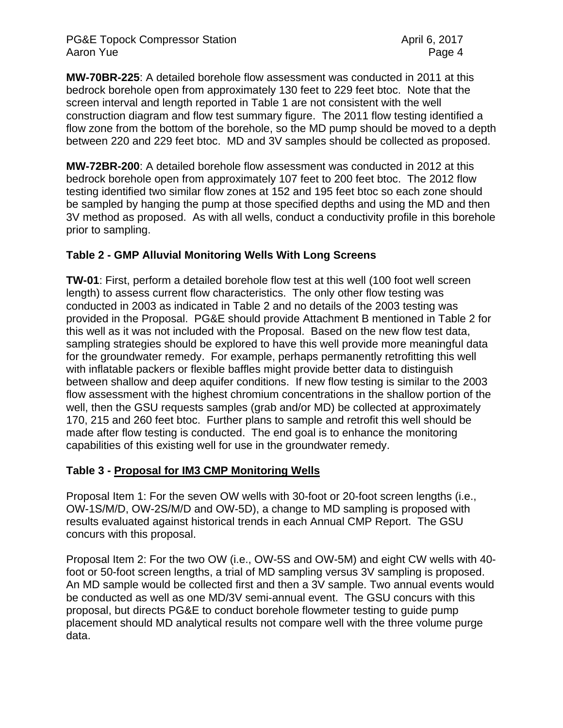### PG&E Topock Compressor Station April 6, 2017 Aaron Yue **Page 4**

**MW-70BR-225**: A detailed borehole flow assessment was conducted in 2011 at this bedrock borehole open from approximately 130 feet to 229 feet btoc. Note that the screen interval and length reported in Table 1 are not consistent with the well construction diagram and flow test summary figure. The 2011 flow testing identified a flow zone from the bottom of the borehole, so the MD pump should be moved to a depth between 220 and 229 feet btoc. MD and 3V samples should be collected as proposed.

**MW-72BR-200**: A detailed borehole flow assessment was conducted in 2012 at this bedrock borehole open from approximately 107 feet to 200 feet btoc. The 2012 flow testing identified two similar flow zones at 152 and 195 feet btoc so each zone should be sampled by hanging the pump at those specified depths and using the MD and then 3V method as proposed. As with all wells, conduct a conductivity profile in this borehole prior to sampling.

# **Table 2 - GMP Alluvial Monitoring Wells With Long Screens**

**TW-01**: First, perform a detailed borehole flow test at this well (100 foot well screen length) to assess current flow characteristics. The only other flow testing was conducted in 2003 as indicated in Table 2 and no details of the 2003 testing was provided in the Proposal. PG&E should provide Attachment B mentioned in Table 2 for this well as it was not included with the Proposal. Based on the new flow test data, sampling strategies should be explored to have this well provide more meaningful data for the groundwater remedy. For example, perhaps permanently retrofitting this well with inflatable packers or flexible baffles might provide better data to distinguish between shallow and deep aquifer conditions. If new flow testing is similar to the 2003 flow assessment with the highest chromium concentrations in the shallow portion of the well, then the GSU requests samples (grab and/or MD) be collected at approximately 170, 215 and 260 feet btoc. Further plans to sample and retrofit this well should be made after flow testing is conducted. The end goal is to enhance the monitoring capabilities of this existing well for use in the groundwater remedy.

## **Table 3 - Proposal for IM3 CMP Monitoring Wells**

Proposal Item 1: For the seven OW wells with 30-foot or 20-foot screen lengths (i.e., OW-1S/M/D, OW-2S/M/D and OW-5D), a change to MD sampling is proposed with results evaluated against historical trends in each Annual CMP Report. The GSU concurs with this proposal.

Proposal Item 2: For the two OW (i.e., OW-5S and OW-5M) and eight CW wells with 40 foot or 50-foot screen lengths, a trial of MD sampling versus 3V sampling is proposed. An MD sample would be collected first and then a 3V sample. Two annual events would be conducted as well as one MD/3V semi-annual event. The GSU concurs with this proposal, but directs PG&E to conduct borehole flowmeter testing to guide pump placement should MD analytical results not compare well with the three volume purge data.